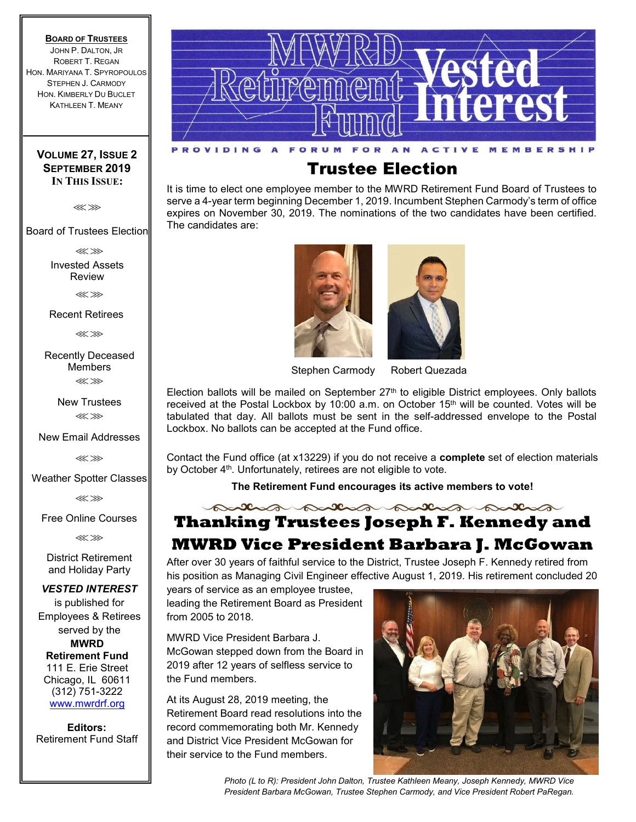### **BOARD OF TRUSTEES**

JOHN P. DALTON, JR ROBERT T. REGAN HON. MARIYANA T. SPYROPOULOS STEPHEN J. CARMODY HON. KIMBERLY DU BUCLET KATHLEEN T. MEANY

### **VOLUME 27, ISSUE 2 SEPTEMBER 2019 IN THIS ISSUE:**

⋘⋙

Board of Trustees Election

⋘⋙

Invested Assets Review

⋘⋙

Recent Retirees

⋘⋙

Recently Deceased Members ⋘⋙

> New Trustees ⋘⋙

New Email Addresses

⋘⋙

Weather Spotter Classes

⋘⋙

Free Online Courses

⋘⋙

District Retirement and Holiday Party

*VESTED INTEREST*

is published for Employees & Retirees served by the **MWRD Retirement Fund** 111 E. Erie Street Chicago, IL 60611 (312) 751-3222 www.mwrdrf.org

**Editors:**  Retirement Fund Staff



# Trustee Election

It is time to elect one employee member to the MWRD Retirement Fund Board of Trustees to serve a 4-year term beginning December 1, 2019. Incumbent Stephen Carmody's term of office expires on November 30, 2019. The nominations of the two candidates have been certified. The candidates are:





Stephen Carmody Robert Quezada

Election ballots will be mailed on September  $27<sup>th</sup>$  to eligible District employees. Only ballots received at the Postal Lockbox by 10:00 a.m. on October 15<sup>th</sup> will be counted. Votes will be tabulated that day. All ballots must be sent in the self-addressed envelope to the Postal Lockbox. No ballots can be accepted at the Fund office.

Contact the Fund office (at x13229) if you do not receive a **complete** set of election materials by October 4<sup>th</sup>. Unfortunately, retirees are not eligible to vote.

**The Retirement Fund encourages its active members to vote!**

partir partir **Thanking Trustees Joseph F. Kennedy and** 

# **MWRD Vice President Barbara J. McGowan**

After over 30 years of faithful service to the District, Trustee Joseph F. Kennedy retired from his position as Managing Civil Engineer effective August 1, 2019. His retirement concluded 20

years of service as an employee trustee, leading the Retirement Board as President from 2005 to 2018.

MWRD Vice President Barbara J. McGowan stepped down from the Board in 2019 after 12 years of selfless service to the Fund members.

At its August 28, 2019 meeting, the Retirement Board read resolutions into the record commemorating both Mr. Kennedy and District Vice President McGowan for their service to the Fund members.



*Photo (L to R): President John Dalton, Trustee Kathleen Meany, Joseph Kennedy, MWRD Vice President Barbara McGowan, Trustee Stephen Carmody, and Vice President Robert PaRegan.*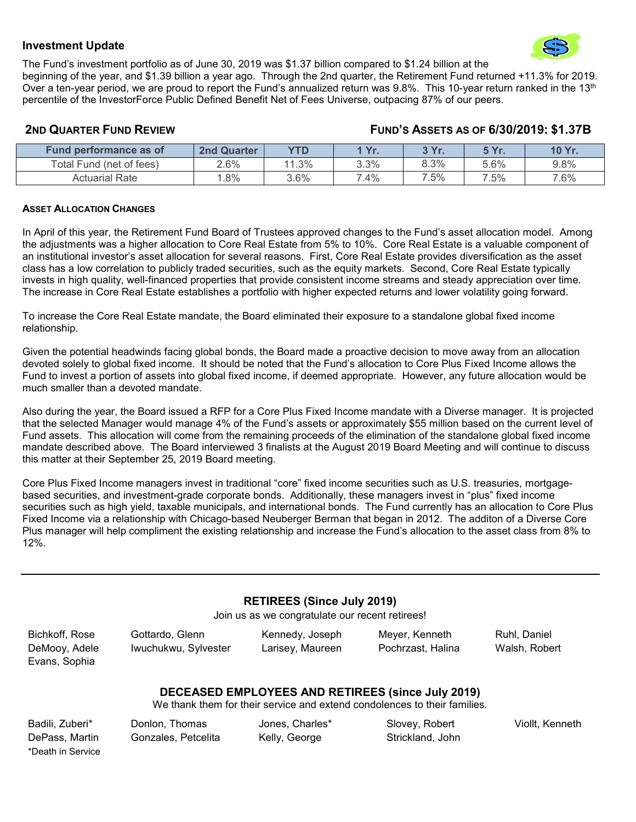### **Investment Update**



The Fund's investment portfolio as of June 30, 2019 was \$1.37 billion compared to \$1.24 billion at the beginning of the year, and \$1.39 billion a year ago. Through the 2nd quarter, the Retirement Fund returned +11.3% for 2019. Over a ten-year period, we are proud to report the Fund's annualized return was  $9.8\%$ . This 10-year return ranked in the 13<sup>th</sup> percentile of the InvestorForce Public Defined Benefit Net of Fees Universe, outpacing 87% of our peers.

### **2ND QUARTER FUND REVIEW FUND'S ASSETS AS OF 6/30/2019: \$1.37B**

| Fund performance as of   | <b>2nd Quarter</b> | <b>YTD</b> | l Vr<br>. | 2V <sub>m</sub><br>. | $E$ $Vr$<br>. | <b>10 Yr</b><br>. |
|--------------------------|--------------------|------------|-----------|----------------------|---------------|-------------------|
| Total Fund (net of fees) | 2.6%               | 11.3%      | 3.3%      | 8.3%                 | 5.6%          | 9.8%              |
| Actuarial Rate           | $.8\%$             | 3.6%       | 7.4%      | .5%<br>⇁             | 7.5%          | 7.6%              |

### **ASSET ALLOCATION CHANGES**

In April of this year, the Retirement Fund Board of Trustees approved changes to the Fund's asset allocation model. Among the adjustments was a higher allocation to Core Real Estate from 5% to 10%. Core Real Estate is a valuable component of an institutional investor's asset allocation for several reasons. First, Core Real Estate provides diversification as the asset class has a low correlation to publicly traded securities, such as the equity markets. Second, Core Real Estate typically invests in high quality, well-financed properties that provide consistent income streams and steady appreciation over time. The increase in Core Real Estate establishes a portfolio with higher expected returns and lower volatility going forward.

To increase the Core Real Estate mandate, the Board eliminated their exposure to a standalone global fixed income relationship.

Given the potential headwinds facing global bonds, the Board made a proactive decision to move away from an allocation devoted solely to global fixed income. It should be noted that the Fund's allocation to Core Plus Fixed Income allows the Fund to invest a portion of assets into global fixed income, if deemed appropriate. However, any future allocation would be much smaller than a devoted mandate.

Also during the year, the Board issued a RFP for a Core Plus Fixed Income mandate with a Diverse manager. It is projected that the selected Manager would manage 4% of the Fund's assets or approximately \$55 million based on the current level of Fund assets. This allocation will come from the remaining proceeds of the elimination of the standalone global fixed income mandate described above. The Board interviewed 3 finalists at the August 2019 Board Meeting and will continue to discuss this matter at their September 25, 2019 Board meeting.

Core Plus Fixed Income managers invest in traditional "core" fixed income securities such as U.S. treasuries, mortgagebased securities, and investment-grade corporate bonds. Additionally, these managers invest in "plus" fixed income securities such as high yield, taxable municipals, and international bonds. The Fund currently has an allocation to Core Plus Fixed Income via a relationship with Chicago-based Neuberger Berman that began in 2012. The additon of a Diverse Core Plus manager will help compliment the existing relationship and increase the Fund's allocation to the asset class from 8% to 12%.

### **RETIREES (Since July 2019)**

Join us as we congratulate our recent retirees!

| Bichkoff, Rose | Gottardo, Glenn      | Kennedy, Joseph  | Meyer, Kenneth    | Ruhl, Daniel  |
|----------------|----------------------|------------------|-------------------|---------------|
| DeMooy, Adele  | Iwuchukwu, Sylvester | Larisey, Maureen | Pochrzast, Halina | Walsh, Robert |
| Evans, Sophia  |                      |                  |                   |               |

### **DECEASED EMPLOYEES AND RETIREES (since July 2019)**

We thank them for their service and extend condolences to their families.

\*Death in Service

Badili, Zuberi\* Donlon, Thomas Jones, Charles\* Slovey, Robert Viollt, Kenneth DePass, Martin Gonzales, Petcelita Kelly, George Strickland, John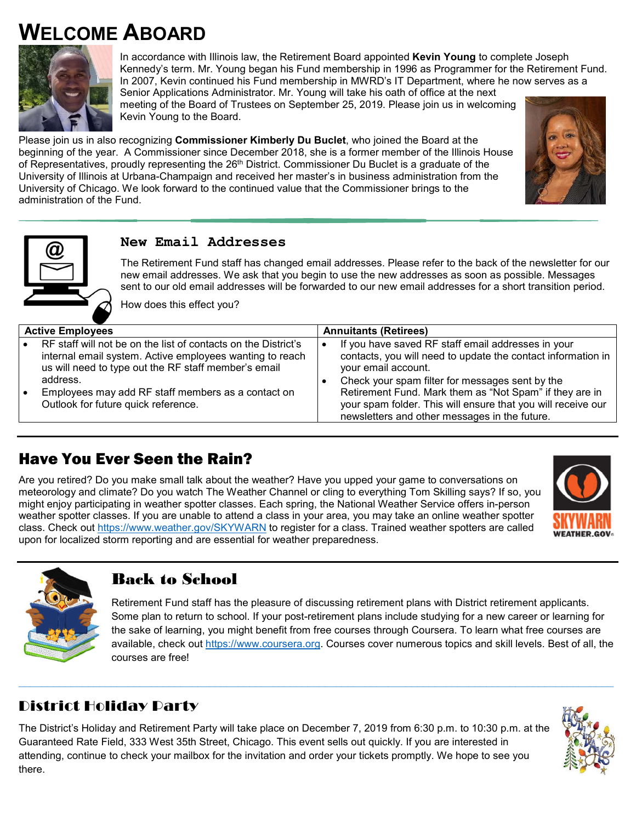# **WELCOME ABOARD**



In accordance with Illinois law, the Retirement Board appointed **Kevin Young** to complete Joseph Kennedy's term. Mr. Young began his Fund membership in 1996 as Programmer for the Retirement Fund. In 2007, Kevin continued his Fund membership in MWRD's IT Department, where he now serves as a

Senior Applications Administrator. Mr. Young will take his oath of office at the next meeting of the Board of Trustees on September 25, 2019. Please join us in welcoming Kevin Young to the Board.

Please join us in also recognizing **Commissioner Kimberly Du Buclet**, who joined the Board at the beginning of the year. A Commissioner since December 2018, she is a former member of the Illinois House of Representatives, proudly representing the 26<sup>th</sup> District. Commissioner Du Buclet is a graduate of the University of Illinois at Urbana-Champaign and received her master's in business administration from the University of Chicago. We look forward to the continued value that the Commissioner brings to the administration of the Fund.





## **New Email Addresses**

The Retirement Fund staff has changed email addresses. Please refer to the back of the newsletter for our new email addresses. We ask that you begin to use the new addresses as soon as possible. Messages sent to our old email addresses will be forwarded to our new email addresses for a short transition period.

How does this effect you?

| <b>Active Employees</b> |                                                                                                                  | <b>Annuitants (Retirees)</b> |                                                                                                                                                                          |  |
|-------------------------|------------------------------------------------------------------------------------------------------------------|------------------------------|--------------------------------------------------------------------------------------------------------------------------------------------------------------------------|--|
|                         | RF staff will not be on the list of contacts on the District's                                                   |                              | If you have saved RF staff email addresses in your                                                                                                                       |  |
|                         | internal email system. Active employees wanting to reach<br>us will need to type out the RF staff member's email |                              | contacts, you will need to update the contact information in<br>your email account.                                                                                      |  |
|                         | address.                                                                                                         |                              | Check your spam filter for messages sent by the                                                                                                                          |  |
|                         | Employees may add RF staff members as a contact on<br>Outlook for future quick reference.                        |                              | Retirement Fund. Mark them as "Not Spam" if they are in<br>your spam folder. This will ensure that you will receive our<br>newsletters and other messages in the future. |  |

# Have You Ever Seen the Rain?

Are you retired? Do you make small talk about the weather? Have you upped your game to conversations on meteorology and climate? Do you watch The Weather Channel or cling to everything Tom Skilling says? If so, you might enjoy participating in weather spotter classes. Each spring, the National Weather Service offers in-person weather spotter classes. If you are unable to attend a class in your area, you may take an online weather spotter class. Check out https://www.weather.gov/SKYWARN to register for a class. Trained weather spotters are called upon for localized storm reporting and are essential for weather preparedness.





# Back to School

Retirement Fund staff has the pleasure of discussing retirement plans with District retirement applicants. Some plan to return to school. If your post-retirement plans include studying for a new career or learning for the sake of learning, you might benefit from free courses through Coursera. To learn what free courses are available, check out https://www.coursera.org. Courses cover numerous topics and skill levels. Best of all, the courses are free!

# District Holiday Party

The District's Holiday and Retirement Party will take place on December 7, 2019 from 6:30 p.m. to 10:30 p.m. at the Guaranteed Rate Field, 333 West 35th Street, Chicago. This event sells out quickly. If you are interested in attending, continue to check your mailbox for the invitation and order your tickets promptly. We hope to see you there.

 $\_$  , and the state of the state of the state of the state of the state of the state of the state of the state of the state of the state of the state of the state of the state of the state of the state of the state of the